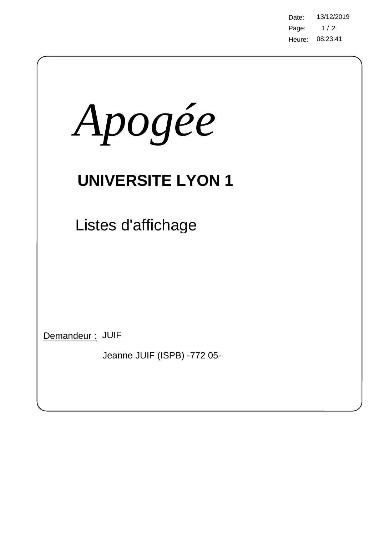Page: 08:23:41 Heure: Date: 13/12/2019  $1/2$ 

| Apogée                                         |
|------------------------------------------------|
| <b>UNIVERSITE LYON 1</b>                       |
| Listes d'affichage                             |
|                                                |
|                                                |
| Demandeur: JUIF<br>Jeanne JUIF (ISPB) -772 05- |